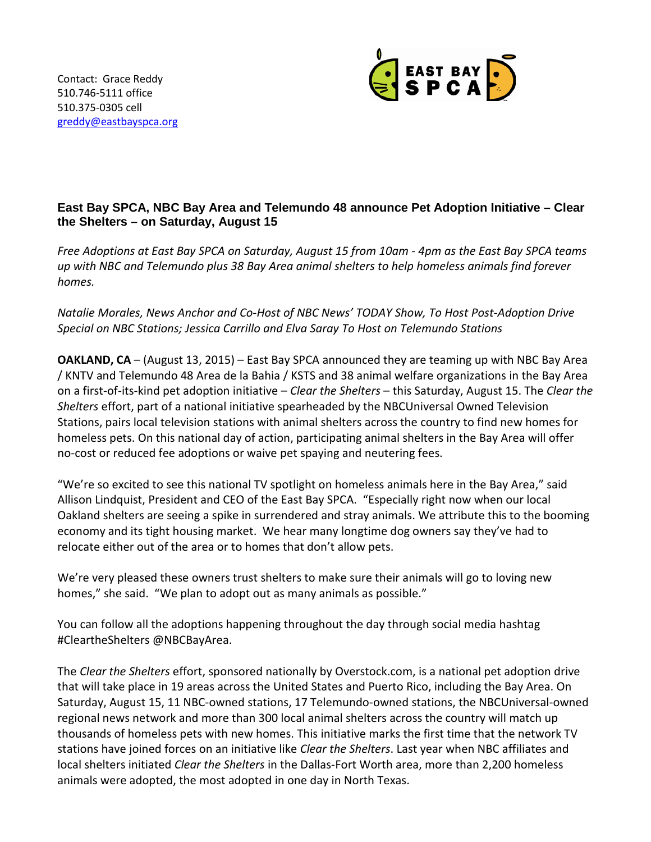

## **East Bay SPCA, NBC Bay Area and Telemundo 48 announce Pet Adoption Initiative – Clear the Shelters – on Saturday, August 15**

*Free Adoptions at East Bay SPCA on Saturday, August 15 from 10am - 4pm as the East Bay SPCA teams up with NBC and Telemundo plus 38 Bay Area animal shelters to help homeless animals find forever homes.*

*Natalie Morales, News Anchor and Co-Host of NBC News' TODAY Show, To Host Post-Adoption Drive Special on NBC Stations; Jessica Carrillo and Elva Saray To Host on Telemundo Stations* 

**OAKLAND, CA** – (August 13, 2015) – East Bay SPCA announced they are teaming up with NBC Bay Area / KNTV and Telemundo 48 Area de la Bahia / KSTS and 38 animal welfare organizations in the Bay Area on a first-of-its-kind pet adoption initiative – *Clear the Shelters* – this Saturday, August 15. The *Clear the Shelters* effort, part of a national initiative spearheaded by the NBCUniversal Owned Television Stations, pairs local television stations with animal shelters across the country to find new homes for homeless pets. On this national day of action, participating animal shelters in the Bay Area will offer no-cost or reduced fee adoptions or waive pet spaying and neutering fees.

"We're so excited to see this national TV spotlight on homeless animals here in the Bay Area," said Allison Lindquist, President and CEO of the East Bay SPCA. "Especially right now when our local Oakland shelters are seeing a spike in surrendered and stray animals. We attribute this to the booming economy and its tight housing market. We hear many longtime dog owners say they've had to relocate either out of the area or to homes that don't allow pets.

We're very pleased these owners trust shelters to make sure their animals will go to loving new homes," she said. "We plan to adopt out as many animals as possible."

You can follow all the adoptions happening throughout the day through social media hashtag #CleartheShelters @NBCBayArea.

The *Clear the Shelters* effort, sponsored nationally by Overstock.com, is a national pet adoption drive that will take place in 19 areas across the United States and Puerto Rico, including the Bay Area. On Saturday, August 15, 11 NBC-owned stations, 17 Telemundo-owned stations, the NBCUniversal-owned regional news network and more than 300 local animal shelters across the country will match up thousands of homeless pets with new homes. This initiative marks the first time that the network TV stations have joined forces on an initiative like *Clear the Shelters*. Last year when NBC affiliates and local shelters initiated *Clear the Shelters* in the Dallas-Fort Worth area, more than 2,200 homeless animals were adopted, the most adopted in one day in North Texas.